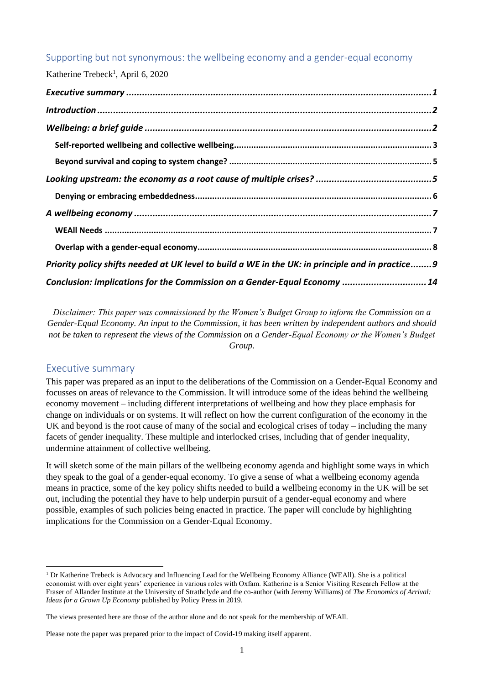## Supporting but not synonymous: the wellbeing economy and a gender-equal economy

Katherine Trebeck<sup>1</sup>, April 6, 2020

| Priority policy shifts needed at UK level to build a WE in the UK: in principle and in practice 9 |  |
|---------------------------------------------------------------------------------------------------|--|
| Conclusion: implications for the Commission on a Gender-Equal Economy  14                         |  |

<span id="page-0-0"></span>*Disclaimer: This paper was commissioned by the Women's Budget Group to inform the Commission on a Gender-Equal Economy. An input to the Commission, it has been written by independent authors and should not be taken to represent the views of the Commission on a Gender-Equal Economy or the Women's Budget Group.*

## Executive summary

This paper was prepared as an input to the deliberations of the Commission on a Gender-Equal Economy and focusses on areas of relevance to the Commission. It will introduce some of the ideas behind the wellbeing economy movement – including different interpretations of wellbeing and how they place emphasis for change on individuals or on systems. It will reflect on how the current configuration of the economy in the UK and beyond is the root cause of many of the social and ecological crises of today – including the many facets of gender inequality. These multiple and interlocked crises, including that of gender inequality, undermine attainment of collective wellbeing.

It will sketch some of the main pillars of the wellbeing economy agenda and highlight some ways in which they speak to the goal of a gender-equal economy. To give a sense of what a wellbeing economy agenda means in practice, some of the key policy shifts needed to build a wellbeing economy in the UK will be set out, including the potential they have to help underpin pursuit of a gender-equal economy and where possible, examples of such policies being enacted in practice. The paper will conclude by highlighting implications for the Commission on a Gender-Equal Economy.

 $1$  Dr Katherine Trebeck is Advocacy and Influencing Lead for the Wellbeing Economy Alliance (WEAll). She is a political economist with over eight years' experience in various roles with Oxfam. Katherine is a Senior Visiting Research Fellow at the Fraser of Allander Institute at the University of Strathclyde and the co-author (with Jeremy Williams) of *The Economics of Arrival: Ideas for a Grown Up Economy* published by Policy Press in 2019.

The views presented here are those of the author alone and do not speak for the membership of WEAll.

Please note the paper was prepared prior to the impact of Covid-19 making itself apparent.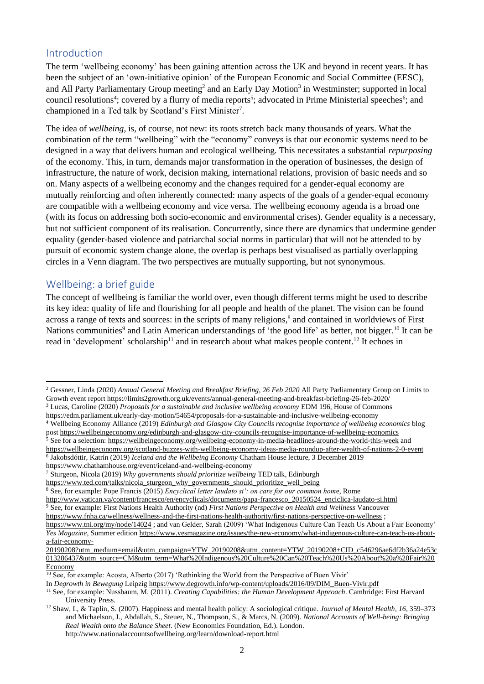## <span id="page-1-0"></span>Introduction

The term 'wellbeing economy' has been gaining attention across the UK and beyond in recent years. It has been the subject of an 'own-initiative opinion' of the European Economic and Social Committee (EESC), and All Party Parliamentary Group meeting<sup>2</sup> and an Early Day Motion<sup>3</sup> in Westminster; supported in local council resolutions<sup>4</sup>; covered by a flurry of media reports<sup>5</sup>; advocated in Prime Ministerial speeches<sup>6</sup>; and championed in a Ted talk by Scotland's First Minister<sup>7</sup>.

The idea of *wellbeing*, is, of course, not new: its roots stretch back many thousands of years. What the combination of the term "wellbeing" with the "economy" conveys is that our economic systems need to be designed in a way that delivers human and ecological wellbeing. This necessitates a substantial *repurposing* of the economy. This, in turn, demands major transformation in the operation of businesses, the design of infrastructure, the nature of work, decision making, international relations, provision of basic needs and so on. Many aspects of a wellbeing economy and the changes required for a gender-equal economy are mutually reinforcing and often inherently connected: many aspects of the goals of a gender-equal economy are compatible with a wellbeing economy and vice versa. The wellbeing economy agenda is a broad one (with its focus on addressing both socio-economic and environmental crises). Gender equality is a necessary, but not sufficient component of its realisation. Concurrently, since there are dynamics that undermine gender equality (gender-based violence and patriarchal social norms in particular) that will not be attended to by pursuit of economic system change alone, the overlap is perhaps best visualised as partially overlapping circles in a Venn diagram. The two perspectives are mutually supporting, but not synonymous.

## <span id="page-1-1"></span>Wellbeing: a brief guide

The concept of wellbeing is familiar the world over, even though different terms might be used to describe its key idea: quality of life and flourishing for all people and health of the planet. The vision can be found across a range of texts and sources: in the scripts of many religions, 8 and contained in worldviews of First Nations communities<sup>9</sup> and Latin American understandings of 'the good life' as better, not bigger.<sup>10</sup> It can be read in 'development' scholarship<sup>11</sup> and in research about what makes people content.<sup>12</sup> It echoes in

<sup>2</sup> Gessner, Linda (2020) *Annual General Meeting and Breakfast Briefing, 26 Feb 2020* All Party Parliamentary Group on Limits to Growth event report https://limits2growth.org.uk/events/annual-general-meeting-and-breakfast-briefing-26-feb-2020/ <sup>3</sup> Lucas, Caroline (2020) *Proposals for a sustainable and inclusive wellbeing economy* EDM 196, House of Commons

https://edm.parliament.uk/early-day-motion/54654/proposals-for-a-sustainable-and-inclusive-wellbeing-economy

<sup>4</sup> Wellbeing Economy Alliance (2019) *Edinburgh and Glasgow City Councils recognise importance of wellbeing economics* blog post <https://wellbeingeconomy.org/edinburgh-and-glasgow-city-councils-recognise-importance-of-wellbeing-economics> <sup>5</sup> See for a selection:<https://wellbeingeconomy.org/wellbeing-economy-in-media-headlines-around-the-world-this-week> and

<https://wellbeingeconomy.org/scotland-buzzes-with-wellbeing-economy-ideas-media-roundup-after-wealth-of-nations-2-0-event> 6 Jakobsdóttir, Katrín (2019) *Iceland and the Wellbeing Economy* Chatham House lecture, 3 December 2019

<https://www.chathamhouse.org/event/iceland-and-wellbeing-economy> <sup>7</sup> Sturgeon, Nicola (2019) *Why governments should prioritize wellbeing* TED talk, Edinburgh

[https://www.ted.com/talks/nicola\\_sturgeon\\_why\\_governments\\_should\\_prioritize\\_well\\_being](https://www.ted.com/talks/nicola_sturgeon_why_governments_should_prioritize_well_being)

<sup>8</sup> See, for example: Pope Francis (2015) *Encyclical letter laudato si': on care for our common hom*e, Rome

[http://www.vatican.va/content/francesco/en/encyclicals/documents/papa-francesco\\_20150524\\_enciclica-laudato-si.html](http://www.vatican.va/content/francesco/en/encyclicals/documents/papa-francesco_20150524_enciclica-laudato-si.html) <sup>9</sup> See, for example: First Nations Health Authority (nd) *First Nations Perspective on Health and Wellness* Vancouver

<https://www.fnha.ca/wellness/wellness-and-the-first-nations-health-authority/first-nations-perspective-on-wellness> ;

<https://www.tni.org/my/node/14024> ; and van Gelder, Sarah (2009) 'What Indigenous Culture Can Teach Us About a Fair Economy' *Yes Magazine*, Summer edition [https://www.yesmagazine.org/issues/the-new-economy/what-indigenous-culture-can-teach-us-about](https://www.yesmagazine.org/issues/the-new-economy/what-indigenous-culture-can-teach-us-about-a-fair-economy-20190208?utm_medium=email&utm_campaign=YTW_20190208&utm_content=YTW_20190208+CID_c546296ae6df2b36a24e53c013286437&utm_source=CM&utm_term=What%20Indigenous%20Culture%20Can%20Teach%20Us%20About%20a%20Fair%20Economy)[a-fair-economy-](https://www.yesmagazine.org/issues/the-new-economy/what-indigenous-culture-can-teach-us-about-a-fair-economy-20190208?utm_medium=email&utm_campaign=YTW_20190208&utm_content=YTW_20190208+CID_c546296ae6df2b36a24e53c013286437&utm_source=CM&utm_term=What%20Indigenous%20Culture%20Can%20Teach%20Us%20About%20a%20Fair%20Economy)

[<sup>20190208?</sup>utm\\_medium=email&utm\\_campaign=YTW\\_20190208&utm\\_content=YTW\\_20190208+CID\\_c546296ae6df2b36a24e53c](https://www.yesmagazine.org/issues/the-new-economy/what-indigenous-culture-can-teach-us-about-a-fair-economy-20190208?utm_medium=email&utm_campaign=YTW_20190208&utm_content=YTW_20190208+CID_c546296ae6df2b36a24e53c013286437&utm_source=CM&utm_term=What%20Indigenous%20Culture%20Can%20Teach%20Us%20About%20a%20Fair%20Economy) [013286437&utm\\_source=CM&utm\\_term=What%20Indigenous%20Culture%20Can%20Teach%20Us%20About%20a%20Fair%20](https://www.yesmagazine.org/issues/the-new-economy/what-indigenous-culture-can-teach-us-about-a-fair-economy-20190208?utm_medium=email&utm_campaign=YTW_20190208&utm_content=YTW_20190208+CID_c546296ae6df2b36a24e53c013286437&utm_source=CM&utm_term=What%20Indigenous%20Culture%20Can%20Teach%20Us%20About%20a%20Fair%20Economy) [Economy](https://www.yesmagazine.org/issues/the-new-economy/what-indigenous-culture-can-teach-us-about-a-fair-economy-20190208?utm_medium=email&utm_campaign=YTW_20190208&utm_content=YTW_20190208+CID_c546296ae6df2b36a24e53c013286437&utm_source=CM&utm_term=What%20Indigenous%20Culture%20Can%20Teach%20Us%20About%20a%20Fair%20Economy)

 $\frac{10}{10}$  See, for example: Acosta, Alberto (2017) 'Rethinking the World from the Perspective of Buen Vivir'

In *Degrowth in Bewegung* Leipzig [https://www.degrowth.info/wp-content/uploads/2016/09/DIM\\_Buen-Vivir.pdf](https://www.degrowth.info/wp-content/uploads/2016/09/DIM_Buen-Vivir.pdf)

<sup>11</sup> See, for example: Nussbaum, M. (2011). *Creating Capabilities: the Human Development Approach*. Cambridge: First Harvard University Press.

<sup>12</sup> Shaw, I., & Taplin, S. (2007). Happiness and mental health policy: A sociological critique. *Journal of Mental Health*, *16*, 359–373 and Michaelson, J., Abdallah, S., Steuer, N., Thompson, S., & Marcs, N. (2009). *National Accounts of Well-being: Bringing Real Wealth onto the Balance Sheet*. (New Economics Foundation, Ed.). London. http://www.nationalaccountsofwellbeing.org/learn/download-report.html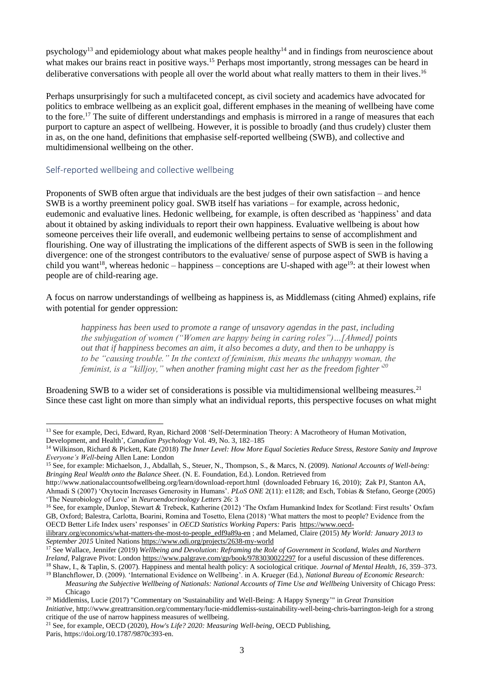psychology<sup>13</sup> and epidemiology about what makes people healthy<sup>14</sup> and in findings from neuroscience about what makes our brains react in positive ways.<sup>15</sup> Perhaps most importantly, strong messages can be heard in deliberative conversations with people all over the world about what really matters to them in their lives.<sup>16</sup>

Perhaps unsurprisingly for such a multifaceted concept, as civil society and academics have advocated for politics to embrace wellbeing as an explicit goal, different emphases in the meaning of wellbeing have come to the fore.<sup>17</sup> The suite of different understandings and emphasis is mirrored in a range of measures that each purport to capture an aspect of wellbeing. However, it is possible to broadly (and thus crudely) cluster them in as, on the one hand, definitions that emphasise self-reported wellbeing (SWB), and collective and multidimensional wellbeing on the other.

#### <span id="page-2-0"></span>Self-reported wellbeing and collective wellbeing

Proponents of SWB often argue that individuals are the best judges of their own satisfaction – and hence SWB is a worthy preeminent policy goal. SWB itself has variations – for example, across hedonic, eudemonic and evaluative lines. Hedonic wellbeing, for example, is often described as 'happiness' and data about it obtained by asking individuals to report their own happiness. Evaluative wellbeing is about how someone perceives their life overall, and eudemonic wellbeing pertains to sense of accomplishment and flourishing. One way of illustrating the implications of the different aspects of SWB is seen in the following divergence: one of the strongest contributors to the evaluative/ sense of purpose aspect of SWB is having a child you want<sup>18</sup>, whereas hedonic – happiness – conceptions are U-shaped with age<sup>19</sup>: at their lowest when people are of child-rearing age.

A focus on narrow understandings of wellbeing as happiness is, as Middlemass (citing Ahmed) explains, rife with potential for gender oppression:

*happiness has been used to promote a range of unsavory agendas in the past, including the subjugation of women ("Women are happy being in caring roles")…[Ahmed] points out that if happiness becomes an aim, it also becomes a duty, and then to be unhappy is to be "causing trouble." In the context of feminism, this means the unhappy woman, the feminist, is a "killjoy," when another framing might cast her as the freedom fighter' 20*

Broadening SWB to a wider set of considerations is possible via multidimensional wellbeing measures.<sup>21</sup> Since these cast light on more than simply what an individual reports, this perspective focuses on what might

<sup>&</sup>lt;sup>13</sup> See for example, Deci, Edward, Ryan, Richard 2008 'Self-Determination Theory: A Macrotheory of Human Motivation, Development, and Health', *Canadian Psychology* Vol. 49, No. 3, 182–185

<sup>14</sup> Wilkinson, Richard & Pickett, Kate (2018) *The Inner Level: How More Equal Societies Reduce Stress, Restore Sanity and Improve Everyone's Well-being* Allen Lane: London

<sup>15</sup> See, for example: Michaelson, J., Abdallah, S., Steuer, N., Thompson, S., & Marcs, N. (2009). *National Accounts of Well-being: Bringing Real Wealth onto the Balance Sheet*. (N. E. Foundation, Ed.). London. Retrieved from

http://www.nationalaccountsofwellbeing.org/learn/download-report.html (downloaded February 16, 2010); Zak PJ, Stanton AA, Ahmadi S (2007) 'Oxytocin Increases Generosity in Humans'. *PLoS ONE* 2(11): e1128; and Esch, Tobias & Stefano, George (2005) 'The Neurobiology of Love' in *Neuroendocrinology Letters* 26: 3

<sup>16</sup> See, for example, Dunlop, Stewart & Trebeck, Katherine (2012) 'The Oxfam Humankind Index for Scotland: First results' Oxfam GB, Oxford; Balestra, Carlotta, Boarini, Romina and Tosetto, Elena (2018) 'What matters the most to people? Evidence from the OECD Better Life Index users' responses' in *OECD Statistics Working Papers:* Paris [https://www.oecd-](https://www.oecd-ilibrary.org/economics/what-matters-the-most-to-people_edf9a89a-en)

[ilibrary.org/economics/what-matters-the-most-to-people\\_edf9a89a-en](https://www.oecd-ilibrary.org/economics/what-matters-the-most-to-people_edf9a89a-en) ; and Melamed, Claire (2015) *My World: January 2013 to September 2015* United Nations <https://www.odi.org/projects/2638-my-world>

<sup>17</sup> See Wallace, Jennifer (2019) *Wellbeing and Devolution: Reframing the Role of Government in Scotland, Wales and Northern Ireland*, Palgrave Pivot: London <https://www.palgrave.com/gp/book/9783030022297> for a useful discussion of these differences. <sup>18</sup> Shaw, I., & Taplin, S. (2007). Happiness and mental health policy: A sociological critique. *Journal of Mental Health*, *16*, 359–373.

<sup>19</sup> Blanchflower, D. (2009). 'International Evidence on Wellbeing'. in A. Krueger (Ed.), *National Bureau of Economic Research: Measuring the Subjective Wellbeing of Nationals: National Accounts of Time Use and Wellbeing* University of Chicago Press:

Chicago

<sup>20</sup> Middlemiss, Lucie (2017) "Commentary on 'Sustainability and Well-Being: A Happy Synergy'" in *Great Transition Initiative*, <http://www.greattransition.org/commentary/lucie-middlemiss-sustainability-well-being-chris-barrington-leigh> for a strong critique of the use of narrow happiness measures of wellbeing.

<sup>21</sup> See, for example, OECD (2020), *How's Life? 2020: Measuring Well-being*, OECD Publishing, Paris, [https://doi.org/10.1787/9870c393-en.](https://doi.org/10.1787/9870c393-en)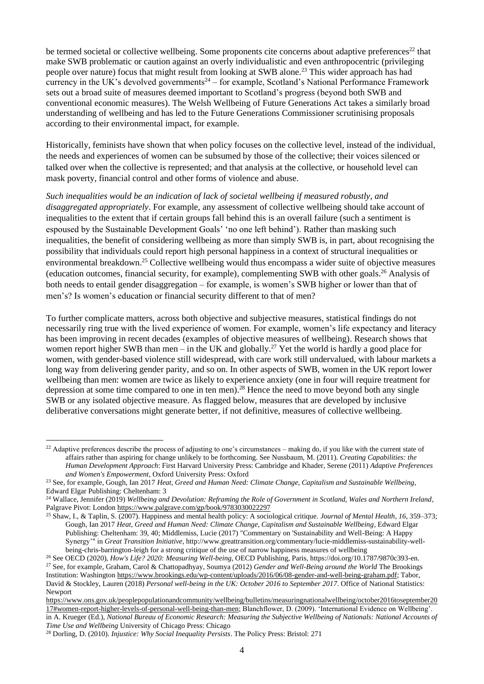be termed societal or collective wellbeing. Some proponents cite concerns about adaptive preferences<sup>22</sup> that make SWB problematic or caution against an overly individualistic and even anthropocentric (privileging people over nature) focus that might result from looking at SWB alone.<sup>23</sup> This wider approach has had currency in the UK's devolved governments<sup>24</sup> – for example, Scotland's National Performance Framework sets out a broad suite of measures deemed important to Scotland's progress (beyond both SWB and conventional economic measures). The Welsh Wellbeing of Future Generations Act takes a similarly broad understanding of wellbeing and has led to the Future Generations Commissioner scrutinising proposals according to their environmental impact, for example.

Historically, feminists have shown that when policy focuses on the collective level, instead of the individual, the needs and experiences of women can be subsumed by those of the collective; their voices silenced or talked over when the collective is represented; and that analysis at the collective, or household level can mask poverty, financial control and other forms of violence and abuse.

*Such inequalities would be an indication of lack of societal wellbeing if measured robustly, and disaggregated appropriately*. For example, any assessment of collective wellbeing should take account of inequalities to the extent that if certain groups fall behind this is an overall failure (such a sentiment is espoused by the Sustainable Development Goals' 'no one left behind'). Rather than masking such inequalities, the benefit of considering wellbeing as more than simply SWB is, in part, about recognising the possibility that individuals could report high personal happiness in a context of structural inequalities or environmental breakdown.<sup>25</sup> Collective wellbeing would thus encompass a wider suite of objective measures (education outcomes, financial security, for example), complementing SWB with other goals. <sup>26</sup> Analysis of both needs to entail gender disaggregation – for example, is women's SWB higher or lower than that of men's? Is women's education or financial security different to that of men?

To further complicate matters, across both objective and subjective measures, statistical findings do not necessarily ring true with the lived experience of women. For example, women's life expectancy and literacy has been improving in recent decades (examples of objective measures of wellbeing). Research shows that women report higher SWB than men – in the UK and globally.<sup>27</sup> Yet the world is hardly a good place for women, with gender-based violence still widespread, with care work still undervalued, with labour markets a long way from delivering gender parity, and so on. In other aspects of SWB, women in the UK report lower wellbeing than men: women are twice as likely to experience anxiety (one in four will require treatment for depression at some time compared to one in ten men).<sup>28</sup> Hence the need to move beyond both any single SWB or any isolated objective measure. As flagged below, measures that are developed by inclusive deliberative conversations might generate better, if not definitive, measures of collective wellbeing.

 $22$  Adaptive preferences describe the process of adjusting to one's circumstances – making do, if you like with the current state of affairs rather than aspiring for change unlikely to be forthcoming. See Nussbaum, M. (2011). *Creating Capabilities: the Human Development Approach*: First Harvard University Press: Cambridge and Khader, Serene (2011) *Adaptive Preferences and Women's Empowerment*, Oxford University Press: Oxford

<sup>23</sup> See, for example, Gough, Ian 2017 *Heat, Greed and Human Need: Climate Change, Capitalism and Sustainable Wellbeing*, Edward Elgar Publishing: Cheltenham: 3

<sup>24</sup> Wallace, Jennifer (2019) *Wellbeing and Devolution: Reframing the Role of Government in Scotland, Wales and Northern Ireland*, Palgrave Pivot: Londo[n https://www.palgrave.com/gp/book/9783030022297](https://www.palgrave.com/gp/book/9783030022297)

<sup>25</sup> Shaw, I., & Taplin, S. (2007). Happiness and mental health policy: A sociological critique. *Journal of Mental Health*, *16*, 359–373; Gough, Ian 2017 *Heat, Greed and Human Need: Climate Change, Capitalism and Sustainable Wellbeing*, Edward Elgar Publishing: Cheltenham: 39, 40; Middlemiss, Lucie (2017) "Commentary on 'Sustainability and Well-Being: A Happy Synergy'" in *Great Transition Initiative*, [http://www.greattransition.org/commentary/lucie-middlemiss-sustainability-well](http://www.greattransition.org/commentary/lucie-middlemiss-sustainability-well-being-chris-barrington-leigh)[being-chris-barrington-leigh](http://www.greattransition.org/commentary/lucie-middlemiss-sustainability-well-being-chris-barrington-leigh) for a strong critique of the use of narrow happiness measures of wellbeing

<sup>26</sup> See OECD (2020), *How's Life? 2020: Measuring Well-being*, OECD Publishing, Paris, [https://doi.org/10.1787/9870c393-en.](https://doi.org/10.1787/9870c393-en) <sup>27</sup> See, for example, Graham, Carol & Chattopadhyay, Soumya (2012) *Gender and Well-Being around the World* The Brookings Institution: Washington [https://www.brookings.edu/wp-content/uploads/2016/06/08-gender-and-well-being-graham.pdf;](https://www.brookings.edu/wp-content/uploads/2016/06/08-gender-and-well-being-graham.pdf) Tabor, David & Stockley, Lauren (2018) *Personal well-being in the UK: October 2016 to September 2017*. Office of National Statistics: Newport

[https://www.ons.gov.uk/peoplepopulationandcommunity/wellbeing/bulletins/measuringnationalwellbeing/october2016toseptember20](https://www.ons.gov.uk/peoplepopulationandcommunity/wellbeing/bulletins/measuringnationalwellbeing/october2016toseptember2017#women-report-higher-levels-of-personal-well-being-than-men) [17#women-report-higher-levels-of-personal-well-being-than-men;](https://www.ons.gov.uk/peoplepopulationandcommunity/wellbeing/bulletins/measuringnationalwellbeing/october2016toseptember2017#women-report-higher-levels-of-personal-well-being-than-men) Blanchflower, D. (2009). 'International Evidence on Wellbeing'. in A. Krueger (Ed.), *National Bureau of Economic Research: Measuring the Subjective Wellbeing of Nationals: National Accounts of Time Use and Wellbeing* University of Chicago Press: Chicago

<sup>28</sup> Dorling, D. (2010). *Injustice: Why Social Inequality Persists*. The Policy Press: Bristol: 271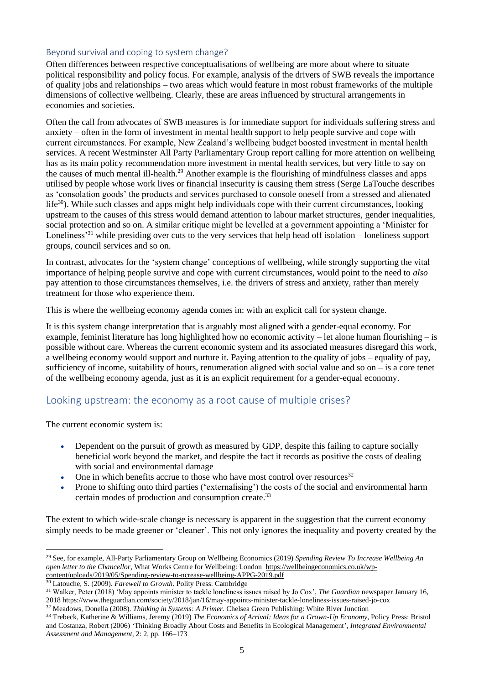### <span id="page-4-0"></span>Beyond survival and coping to system change?

Often differences between respective conceptualisations of wellbeing are more about where to situate political responsibility and policy focus. For example, analysis of the drivers of SWB reveals the importance of quality jobs and relationships – two areas which would feature in most robust frameworks of the multiple dimensions of collective wellbeing. Clearly, these are areas influenced by structural arrangements in economies and societies.

Often the call from advocates of SWB measures is for immediate support for individuals suffering stress and anxiety – often in the form of investment in mental health support to help people survive and cope with current circumstances. For example, New Zealand's wellbeing budget boosted investment in mental health services. A recent Westminster All Party Parliamentary Group report calling for more attention on wellbeing has as its main policy recommendation more investment in mental health services, but very little to say on the causes of much mental ill-health.<sup>29</sup> Another example is the flourishing of mindfulness classes and apps utilised by people whose work lives or financial insecurity is causing them stress (Serge LaTouche describes as 'consolation goods' the products and services purchased to console oneself from a stressed and alienated life<sup>30</sup>). While such classes and apps might help individuals cope with their current circumstances, looking upstream to the causes of this stress would demand attention to labour market structures, gender inequalities, social protection and so on. A similar critique might be levelled at a government appointing a 'Minister for Loneliness<sup>31</sup> while presiding over cuts to the very services that help head off isolation – loneliness support groups, council services and so on.

In contrast, advocates for the 'system change' conceptions of wellbeing, while strongly supporting the vital importance of helping people survive and cope with current circumstances, would point to the need to *also* pay attention to those circumstances themselves, i.e. the drivers of stress and anxiety, rather than merely treatment for those who experience them.

This is where the wellbeing economy agenda comes in: with an explicit call for system change.

It is this system change interpretation that is arguably most aligned with a gender-equal economy. For example, feminist literature has long highlighted how no economic activity – let alone human flourishing – is possible without care. Whereas the current economic system and its associated measures disregard this work, a wellbeing economy would support and nurture it. Paying attention to the quality of jobs – equality of pay, sufficiency of income, suitability of hours, renumeration aligned with social value and so on – is a core tenet of the wellbeing economy agenda, just as it is an explicit requirement for a gender-equal economy.

## <span id="page-4-1"></span>Looking upstream: the economy as a root cause of multiple crises?

The current economic system is:

- Dependent on the pursuit of growth as measured by GDP, despite this failing to capture socially beneficial work beyond the market, and despite the fact it records as positive the costs of dealing with social and environmental damage
- One in which benefits accrue to those who have most control over resources $32$
- Prone to shifting onto third parties ('externalising') the costs of the social and environmental harm certain modes of production and consumption create. 33

The extent to which wide-scale change is necessary is apparent in the suggestion that the current economy simply needs to be made greener or 'cleaner'. This not only ignores the inequality and poverty created by the

<sup>29</sup> See, for example, All-Party Parliamentary Group on Wellbeing Economics (2019) *Spending Review To Increase Wellbeing An open letter to the Chancellor,* What Works Centre for Wellbeing: London [https://wellbeingeconomics.co.uk/wp](https://wellbeingeconomics.co.uk/wp-content/uploads/2019/05/Spending-review-to-ncrease-wellbeing-APPG-2019.pdf)[content/uploads/2019/05/Spending-review-to-ncrease-wellbeing-APPG-2019.pdf](https://wellbeingeconomics.co.uk/wp-content/uploads/2019/05/Spending-review-to-ncrease-wellbeing-APPG-2019.pdf)

<sup>30</sup> Latouche, S. (2009). *Farewell to Growth*. Polity Press: Cambridge

<sup>31</sup> Walker, Peter (2018) 'May appoints minister to tackle loneliness issues raised by Jo Cox', *The Guardian* newspaper January 16, 2018 <https://www.theguardian.com/society/2018/jan/16/may-appoints-minister-tackle-loneliness-issues-raised-jo-cox> <sup>32</sup> Meadows, Donella (2008). *Thinking in Systems: A Primer*. Chelsea Green Publishing: White River Junction

<sup>33</sup> Trebeck, Katherine & Williams, Jeremy (2019) *The Economics of Arrival: Ideas for a Grown-Up Economy*, Policy Press: Bristol and Costanza, Robert (2006) 'Thinking Broadly About Costs and Benefits in Ecological Management', *Integrated Environmental Assessment and Management*, 2: 2, pp. 166–173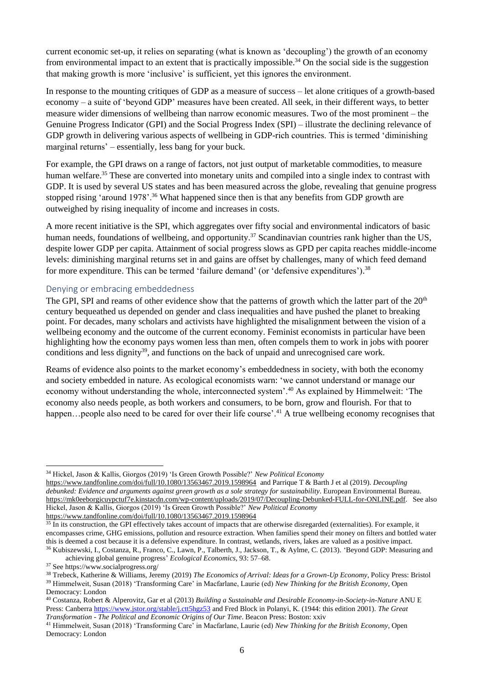current economic set-up, it relies on separating (what is known as 'decoupling') the growth of an economy from environmental impact to an extent that is practically impossible.<sup>34</sup> On the social side is the suggestion that making growth is more 'inclusive' is sufficient, yet this ignores the environment.

In response to the mounting critiques of GDP as a measure of success – let alone critiques of a growth-based economy – a suite of 'beyond GDP' measures have been created. All seek, in their different ways, to better measure wider dimensions of wellbeing than narrow economic measures. Two of the most prominent – the Genuine Progress Indicator (GPI) and the Social Progress Index (SPI) – illustrate the declining relevance of GDP growth in delivering various aspects of wellbeing in GDP-rich countries. This is termed 'diminishing marginal returns' – essentially, less bang for your buck.

For example, the GPI draws on a range of factors, not just output of marketable commodities, to measure human welfare.<sup>35</sup> These are converted into monetary units and compiled into a single index to contrast with GDP. It is used by several US states and has been measured across the globe, revealing that genuine progress stopped rising 'around 1978'.<sup>36</sup> What happened since then is that any benefits from GDP growth are outweighed by rising inequality of income and increases in costs.

A more recent initiative is the SPI, which aggregates over fifty social and environmental indicators of basic human needs, foundations of wellbeing, and opportunity.<sup>37</sup> Scandinavian countries rank higher than the US, despite lower GDP per capita. Attainment of social progress slows as GPD per capita reaches middle-income levels: diminishing marginal returns set in and gains are offset by challenges, many of which feed demand for more expenditure. This can be termed 'failure demand' (or 'defensive expenditures').<sup>38</sup>

#### <span id="page-5-0"></span>Denying or embracing embeddedness

The GPI, SPI and reams of other evidence show that the patterns of growth which the latter part of the 20<sup>th</sup> century bequeathed us depended on gender and class inequalities and have pushed the planet to breaking point. For decades, many scholars and activists have highlighted the misalignment between the vision of a wellbeing economy and the outcome of the current economy. Feminist economists in particular have been highlighting how the economy pays women less than men, often compels them to work in jobs with poorer conditions and less dignity<sup>39</sup>, and functions on the back of unpaid and unrecognised care work.

Reams of evidence also points to the market economy's embeddedness in society, with both the economy and society embedded in nature. As ecological economists warn: 'we cannot understand or manage our economy without understanding the whole, interconnected system'.<sup>40</sup> As explained by Himmelweit: 'The economy also needs people, as both workers and consumers, to be born, grow and flourish. For that to happen...people also need to be cared for over their life course'.<sup>41</sup> A true wellbeing economy recognises that

<sup>34</sup> Hickel, Jason & Kallis, Giorgos (2019) 'Is Green Growth Possible?' *New Political Economy*

<https://www.tandfonline.com/doi/full/10.1080/13563467.2019.1598964>and Parrique T & Barth J et al (2019). *Decoupling debunked: Evidence and arguments against green growth as a sole strategy for sustainability*. European Environmental Bureau. [https://mk0eeborgicuypctuf7e.kinstacdn.com/wp-content/uploads/2019/07/Decoupling-Debunked-FULL-for-ONLINE.pdf.](https://mk0eeborgicuypctuf7e.kinstacdn.com/wp-content/uploads/2019/07/Decoupling-Debunked-FULL-for-ONLINE.pdf) See also Hickel, Jason & Kallis, Giorgos (2019) 'Is Green Growth Possible?' *New Political Economy*

<https://www.tandfonline.com/doi/full/10.1080/13563467.2019.1598964>

<sup>&</sup>lt;sup>35</sup> In its construction, the GPI effectively takes account of impacts that are otherwise disregarded (externalities). For example, it encompasses crime, GHG emissions, pollution and resource extraction. When families spend their money on filters and bottled water this is deemed a cost because it is a defensive expenditure. In contrast, wetlands, rivers, lakes are valued as a positive impact. <sup>36</sup> Kubiszewski, I., Costanza, R., Franco, C., Lawn, P., Talberth, J., Jackson, T., & Aylme, C. (2013). 'Beyond GDP: Measuring and

achieving global genuine progress' *Ecological Economics*, 93: 57–68.

<sup>37</sup> See https://www.socialprogress.org/

<sup>38</sup> Trebeck, Katherine & Williams, Jeremy (2019) *The Economics of Arrival: Ideas for a Grown-Up Economy*, Policy Press: Bristol <sup>39</sup> Himmelweit, Susan (2018) 'Transforming Care' in Macfarlane, Laurie (ed) *New Thinking for the British Economy*, Open Democracy: London

<sup>40</sup> Costanza, Robert & Alperovitz, Gar et al (2013) *Building a Sustainable and Desirable Economy-in-Society-in-Nature* ANU E Press: Canberr[a https://www.jstor.org/stable/j.ctt5hgz53](https://www.jstor.org/stable/j.ctt5hgz53) and Fred Block in Polanyi, K. (1944: this edition 2001). *The Great Transformation - The Political and Economic Origins of Our Time*. Beacon Press: Boston: xxiv

<sup>41</sup> Himmelweit, Susan (2018) 'Transforming Care' in Macfarlane, Laurie (ed) *New Thinking for the British Economy*, Open Democracy: London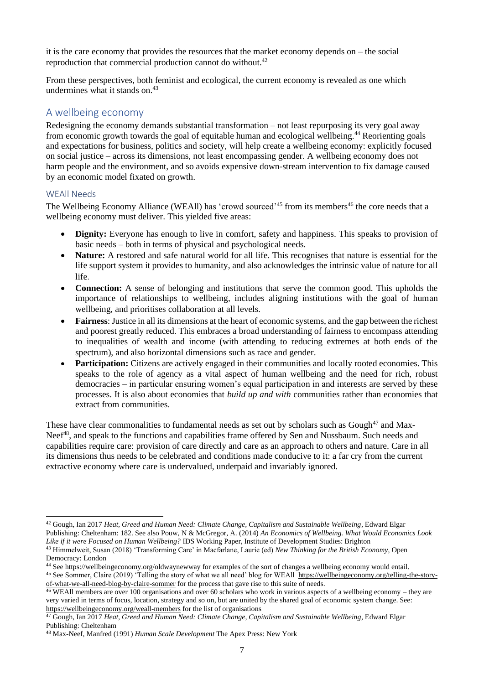it is the care economy that provides the resources that the market economy depends on – the social reproduction that commercial production cannot do without.<sup>42</sup>

From these perspectives, both feminist and ecological, the current economy is revealed as one which undermines what it stands on. $43$ 

### <span id="page-6-0"></span>A wellbeing economy

Redesigning the economy demands substantial transformation – not least repurposing its very goal away from economic growth towards the goal of equitable human and ecological wellbeing.<sup>44</sup> Reorienting goals and expectations for business, politics and society, will help create a wellbeing economy: explicitly focused on social justice – across its dimensions, not least encompassing gender. A wellbeing economy does not harm people and the environment, and so avoids expensive down-stream intervention to fix damage caused by an economic model fixated on growth.

#### <span id="page-6-1"></span>WEAll Needs

The Wellbeing Economy Alliance (WEAll) has 'crowd sourced'<sup>45</sup> from its members<sup>46</sup> the core needs that a wellbeing economy must deliver. This yielded five areas:

- **Dignity:** Everyone has enough to live in comfort, safety and happiness. This speaks to provision of basic needs – both in terms of physical and psychological needs.
- **Nature:** A restored and safe natural world for all life. This recognises that nature is essential for the life support system it provides to humanity, and also acknowledges the intrinsic value of nature for all life.
- **Connection:** A sense of belonging and institutions that serve the common good. This upholds the importance of relationships to wellbeing, includes aligning institutions with the goal of human wellbeing, and prioritises collaboration at all levels.
- **Fairness**: Justice in all its dimensions at the heart of economic systems, and the gap between the richest and poorest greatly reduced. This embraces a broad understanding of fairness to encompass attending to inequalities of wealth and income (with attending to reducing extremes at both ends of the spectrum), and also horizontal dimensions such as race and gender.
- **Participation:** Citizens are actively engaged in their communities and locally rooted economies. This speaks to the role of agency as a vital aspect of human wellbeing and the need for rich, robust democracies – in particular ensuring women's equal participation in and interests are served by these processes. It is also about economies that *build up and with* communities rather than economies that extract from communities.

These have clear commonalities to fundamental needs as set out by scholars such as Gough<sup>47</sup> and Max-Neef<sup>48</sup>, and speak to the functions and capabilities frame offered by Sen and Nussbaum. Such needs and capabilities require care: provision of care directly and care as an approach to others and nature. Care in all its dimensions thus needs to be celebrated and conditions made conducive to it: a far cry from the current extractive economy where care is undervalued, underpaid and invariably ignored.

<sup>42</sup> Gough, Ian 2017 *Heat, Greed and Human Need: Climate Change, Capitalism and Sustainable Wellbeing*, Edward Elgar Publishing: Cheltenham: 182. See also Pouw, N & McGregor, A. (2014) *An Economics of Wellbeing. What Would Economics Look Like if it were Focused on Human Wellbeing?* IDS Working Paper, Institute of Development Studies: Brighton

<sup>43</sup> Himmelweit, Susan (2018) 'Transforming Care' in Macfarlane, Laurie (ed) *New Thinking for the British Economy*, Open Democracy: London

<sup>44</sup> See https://wellbeingeconomy.org/oldwaynewway for examples of the sort of changes a wellbeing economy would entail.

<sup>45</sup> See Sommer, Claire (2019) 'Telling the story of what we all need' blog for WEAll [https://wellbeingeconomy.org/telling-the-story](https://wellbeingeconomy.org/telling-the-story-of-what-we-all-need-blog-by-claire-sommer)[of-what-we-all-need-blog-by-claire-sommer](https://wellbeingeconomy.org/telling-the-story-of-what-we-all-need-blog-by-claire-sommer) for the process that gave rise to this suite of needs.

<sup>&</sup>lt;sup>46</sup> WEAll members are over 100 organisations and over 60 scholars who work in various aspects of a wellbeing economy – they are very varied in terms of focus, location, strategy and so on, but are united by the shared goal of economic system change. See: <https://wellbeingeconomy.org/weall-members> for the list of organisations

<sup>47</sup> Gough, Ian 2017 *Heat, Greed and Human Need: Climate Change, Capitalism and Sustainable Wellbeing*, Edward Elgar Publishing: Cheltenham

<sup>48</sup> Max-Neef, Manfred (1991) *Human Scale Development* The Apex Press: New York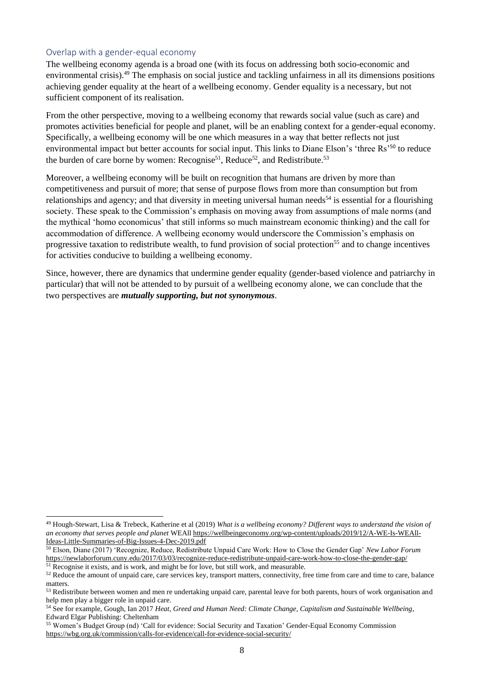#### <span id="page-7-0"></span>Overlap with a gender-equal economy

The wellbeing economy agenda is a broad one (with its focus on addressing both socio-economic and environmental crisis).<sup>49</sup> The emphasis on social justice and tackling unfairness in all its dimensions positions achieving gender equality at the heart of a wellbeing economy. Gender equality is a necessary, but not sufficient component of its realisation.

From the other perspective, moving to a wellbeing economy that rewards social value (such as care) and promotes activities beneficial for people and planet, will be an enabling context for a gender-equal economy. Specifically, a wellbeing economy will be one which measures in a way that better reflects not just environmental impact but better accounts for social input. This links to Diane Elson's 'three Rs'<sup>50</sup> to reduce the burden of care borne by women: Recognise<sup>51</sup>, Reduce<sup>52</sup>, and Redistribute.<sup>53</sup>

Moreover, a wellbeing economy will be built on recognition that humans are driven by more than competitiveness and pursuit of more; that sense of purpose flows from more than consumption but from relationships and agency; and that diversity in meeting universal human needs<sup>54</sup> is essential for a flourishing society. These speak to the Commission's emphasis on moving away from assumptions of male norms (and the mythical 'homo economicus' that still informs so much mainstream economic thinking) and the call for accommodation of difference. A wellbeing economy would underscore the Commission's emphasis on progressive taxation to redistribute wealth, to fund provision of social protection<sup>55</sup> and to change incentives for activities conducive to building a wellbeing economy.

Since, however, there are dynamics that undermine gender equality (gender-based violence and patriarchy in particular) that will not be attended to by pursuit of a wellbeing economy alone, we can conclude that the two perspectives are *mutually supporting, but not synonymous*.

<sup>49</sup> Hough-Stewart, Lisa & Trebeck, Katherine et al (2019) *What is a wellbeing economy? Different ways to understand the vision of an economy that serves people and planet* WEAl[l https://wellbeingeconomy.org/wp-content/uploads/2019/12/A-WE-Is-WEAll-](https://wellbeingeconomy.org/wp-content/uploads/2019/12/A-WE-Is-WEAll-Ideas-Little-Summaries-of-Big-Issues-4-Dec-2019.pdf)[Ideas-Little-Summaries-of-Big-Issues-4-Dec-2019.pdf](https://wellbeingeconomy.org/wp-content/uploads/2019/12/A-WE-Is-WEAll-Ideas-Little-Summaries-of-Big-Issues-4-Dec-2019.pdf)

<sup>50</sup> Elson, Diane (2017) 'Recognize, Reduce, Redistribute Unpaid Care Work: How to Close the Gender Gap' *New Labor Forum* <https://newlaborforum.cuny.edu/2017/03/03/recognize-reduce-redistribute-unpaid-care-work-how-to-close-the-gender-gap/>

 $<sup>51</sup>$  Recognise it exists, and is work, and might be for love, but still work, and measurable.</sup> <sup>52</sup> Reduce the amount of unpaid care, care services key, transport matters, connectivity, free time from care and time to care, balance

matters.

<sup>53</sup> Redistribute between women and men re undertaking unpaid care, parental leave for both parents, hours of work organisation and help men play a bigger role in unpaid care.

<sup>54</sup> See for example, Gough, Ian 2017 *Heat, Greed and Human Need: Climate Change, Capitalism and Sustainable Wellbeing*, Edward Elgar Publishing: Cheltenham

<sup>55</sup> Women's Budget Group (nd) 'Call for evidence: Social Security and Taxation' Gender-Equal Economy Commission <https://wbg.org.uk/commission/calls-for-evidence/call-for-evidence-social-security/>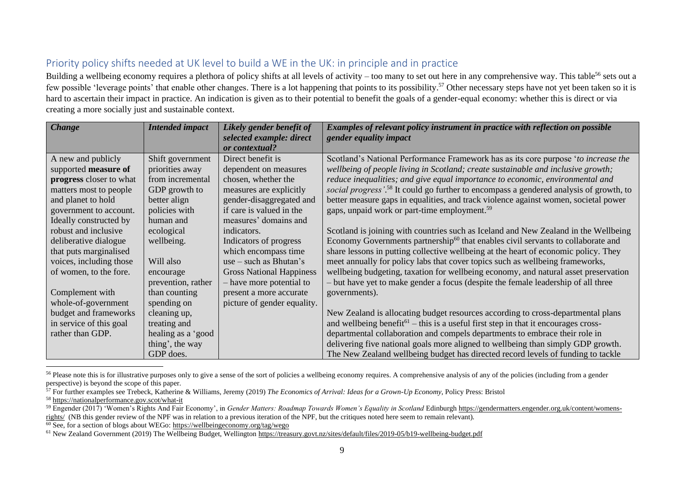# Priority policy shifts needed at UK level to build a WE in the UK: in principle and in practice

Building a wellbeing economy requires a plethora of policy shifts at all levels of activity – too many to set out here in any comprehensive way. This table<sup>56</sup> sets out a few possible 'leverage points' that enable other changes. There is a lot happening that points to its possibility.<sup>57</sup> Other necessary steps have not yet been taken so it is hard to ascertain their impact in practice. An indication is given as to their potential to benefit the goals of a gender-equal economy: whether this is direct or via creating a more socially just and sustainable context.

| <b>Change</b>           | <b>Intended impact</b> | Likely gender benefit of        | Examples of relevant policy instrument in practice with reflection on possible                              |
|-------------------------|------------------------|---------------------------------|-------------------------------------------------------------------------------------------------------------|
|                         |                        | selected example: direct        | gender equality impact                                                                                      |
|                         |                        | or contextual?                  |                                                                                                             |
| A new and publicly      | Shift government       | Direct benefit is               | Scotland's National Performance Framework has as its core purpose 'to increase the                          |
| supported measure of    | priorities away        | dependent on measures           | wellbeing of people living in Scotland; create sustainable and inclusive growth;                            |
| progress closer to what | from incremental       | chosen, whether the             | reduce inequalities; and give equal importance to economic, environmental and                               |
| matters most to people  | GDP growth to          | measures are explicitly         | social progress'. <sup>58</sup> It could go further to encompass a gendered analysis of growth, to          |
| and planet to hold      | better align           | gender-disaggregated and        | better measure gaps in equalities, and track violence against women, societal power                         |
| government to account.  | policies with          | if care is valued in the        | gaps, unpaid work or part-time employment. <sup>59</sup>                                                    |
| Ideally constructed by  | human and              | measures' domains and           |                                                                                                             |
| robust and inclusive    | ecological             | indicators.                     | Scotland is joining with countries such as Iceland and New Zealand in the Wellbeing                         |
| deliberative dialogue   | wellbeing.             | Indicators of progress          | Economy Governments partnership <sup>60</sup> that enables civil servants to collaborate and                |
| that puts marginalised  |                        | which encompass time            | share lessons in putting collective wellbeing at the heart of economic policy. They                         |
| voices, including those | Will also              | $use - such as Bhutan's$        | meet annually for policy labs that cover topics such as wellbeing frameworks,                               |
| of women, to the fore.  | encourage              | <b>Gross National Happiness</b> | wellbeing budgeting, taxation for wellbeing economy, and natural asset preservation                         |
|                         | prevention, rather     | - have more potential to        | - but have yet to make gender a focus (despite the female leadership of all three                           |
| Complement with         | than counting          | present a more accurate         | governments).                                                                                               |
| whole-of-government     | spending on            | picture of gender equality.     |                                                                                                             |
| budget and frameworks   | cleaning up,           |                                 | New Zealand is allocating budget resources according to cross-departmental plans                            |
| in service of this goal | treating and           |                                 | and wellbeing benefit <sup><math>61</math></sup> – this is a useful first step in that it encourages cross- |
| rather than GDP.        | healing as a 'good     |                                 | departmental collaboration and compels departments to embrace their role in                                 |
|                         | thing', the way        |                                 | delivering five national goals more aligned to wellbeing than simply GDP growth.                            |
|                         | GDP does.              |                                 | The New Zealand wellbeing budget has directed record levels of funding to tackle                            |

<span id="page-8-0"></span><sup>&</sup>lt;sup>56</sup> Please note this is for illustrative purposes only to give a sense of the sort of policies a wellbeing economy requires. A comprehensive analysis of any of the policies (including from a gender perspective) is beyond the scope of this paper.

<sup>57</sup> For further examples see Trebeck, Katherine & Williams, Jeremy (2019) *The Economics of Arrival: Ideas for a Grown-Up Economy*, Policy Press: Bristol

<sup>58</sup> <https://nationalperformance.gov.scot/what-it>

<sup>&</sup>lt;sup>59</sup> Engender (2017) 'Women's Rights And Fair Economy', in *Gender Matters: Roadmap Towards Women's Equality in Scotland* Edinburgh [https://gendermatters.engender.org.uk/content/womens](https://gendermatters.engender.org.uk/content/womens-rights/)[rights/](https://gendermatters.engender.org.uk/content/womens-rights/) (NB this gender review of the NPF was in relation to a previous iteration of the NPF, but the critiques noted here seem to remain relevant).

 $\overline{60}$  See, for a section of blogs about WEGo: <https://wellbeingeconomy.org/tag/wego>

<sup>61</sup> New Zealand Government (2019) The Wellbeing Budget, Wellington <https://treasury.govt.nz/sites/default/files/2019-05/b19-wellbeing-budget.pdf>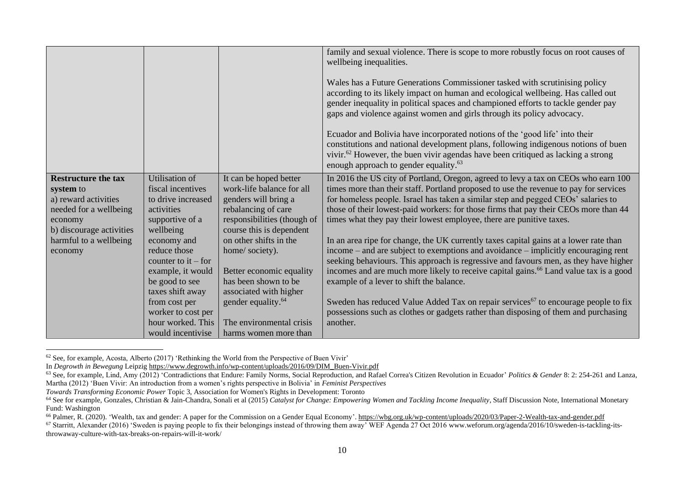|                            |                       |                                | family and sexual violence. There is scope to more robustly focus on root causes of                                                                                                                                                                                                                                            |
|----------------------------|-----------------------|--------------------------------|--------------------------------------------------------------------------------------------------------------------------------------------------------------------------------------------------------------------------------------------------------------------------------------------------------------------------------|
|                            |                       |                                | wellbeing inequalities.                                                                                                                                                                                                                                                                                                        |
|                            |                       |                                | Wales has a Future Generations Commissioner tasked with scrutinising policy<br>according to its likely impact on human and ecological wellbeing. Has called out<br>gender inequality in political spaces and championed efforts to tackle gender pay<br>gaps and violence against women and girls through its policy advocacy. |
|                            |                       |                                | Ecuador and Bolivia have incorporated notions of the 'good life' into their<br>constitutions and national development plans, following indigenous notions of buen<br>vivir. <sup>62</sup> However, the buen vivir agendas have been critiqued as lacking a strong<br>enough approach to gender equality. <sup>63</sup>         |
| <b>Restructure the tax</b> | Utilisation of        | It can be hoped better         | In 2016 the US city of Portland, Oregon, agreed to levy a tax on CEOs who earn 100                                                                                                                                                                                                                                             |
| system to                  | fiscal incentives     | work-life balance for all      | times more than their staff. Portland proposed to use the revenue to pay for services                                                                                                                                                                                                                                          |
| a) reward activities       | to drive increased    | genders will bring a           | for homeless people. Israel has taken a similar step and pegged CEOs' salaries to                                                                                                                                                                                                                                              |
| needed for a wellbeing     | activities            | rebalancing of care            | those of their lowest-paid workers: for those firms that pay their CEOs more than 44                                                                                                                                                                                                                                           |
| economy                    | supportive of a       | responsibilities (though of    | times what they pay their lowest employee, there are punitive taxes.                                                                                                                                                                                                                                                           |
| b) discourage activities   | wellbeing             | course this is dependent       |                                                                                                                                                                                                                                                                                                                                |
| harmful to a wellbeing     | economy and           | on other shifts in the         | In an area ripe for change, the UK currently taxes capital gains at a lower rate than                                                                                                                                                                                                                                          |
| economy                    | reduce those          | home/society).                 | income – and are subject to exemptions and avoidance – implicitly encouraging rent                                                                                                                                                                                                                                             |
|                            | counter to $it$ – for |                                | seeking behaviours. This approach is regressive and favours men, as they have higher                                                                                                                                                                                                                                           |
|                            | example, it would     | Better economic equality       | incomes and are much more likely to receive capital gains. <sup>66</sup> Land value tax is a good                                                                                                                                                                                                                              |
|                            | be good to see        | has been shown to be           | example of a lever to shift the balance.                                                                                                                                                                                                                                                                                       |
|                            | taxes shift away      | associated with higher         |                                                                                                                                                                                                                                                                                                                                |
|                            | from cost per         | gender equality. <sup>64</sup> | Sweden has reduced Value Added Tax on repair services <sup>67</sup> to encourage people to fix                                                                                                                                                                                                                                 |
|                            | worker to cost per    |                                | possessions such as clothes or gadgets rather than disposing of them and purchasing                                                                                                                                                                                                                                            |
|                            | hour worked. This     | The environmental crisis       | another.                                                                                                                                                                                                                                                                                                                       |
|                            | would incentivise     | harms women more than          |                                                                                                                                                                                                                                                                                                                                |

<sup>62</sup> See, for example, Acosta, Alberto (2017) 'Rethinking the World from the Perspective of Buen Vivir'

In *Degrowth in Bewegung* Leipzi[g https://www.degrowth.info/wp-content/uploads/2016/09/DIM\\_Buen-Vivir.pdf](https://www.degrowth.info/wp-content/uploads/2016/09/DIM_Buen-Vivir.pdf)

<sup>63</sup> See, for example, Lind, Amy (2012) 'Contradictions that Endure: Family Norms, Social Reproduction, and Rafael Correa's Citizen Revolution in Ecuador' *Politics & Gender* 8: 2: 254-261 and Lanza, Martha (2012) 'Buen Vivir: An introduction from a women's rights perspective in Bolivia' in *Feminist Perspectives*

*Towards Transforming Economic Power* Topic 3, Association for Women's Rights in Development: Toronto

<sup>&</sup>lt;sup>64</sup> See for example, Gonzales, Christian & Jain-Chandra, Sonali et al (2015) *Catalyst for Change: Empowering Women and Tackling Income Inequality*, Staff Discussion Note, International Monetary Fund: Washington

<sup>&</sup>lt;sup>66</sup> Palmer, R. (2020). 'Wealth, tax and gender: A paper for the Commission on a Gender Equal Economy'[. https://wbg.org.uk/wp-content/uploads/2020/03/Paper-2-Wealth-tax-and-gender.pdf](https://wbg.org.uk/wp-content/uploads/2020/03/Paper-2-Wealth-tax-and-gender.pdf)

 $\frac{67}{2}$  Starritt, Alexander (2016) 'Sweden is paying people to fix their belongings instead of throwing them away' WEF Agenda 27 Oct 2016 www.weforum.org/agenda/2016/10/sweden-is-tackling-itsthrowaway-culture-with-tax-breaks-on-repairs-will-it-work/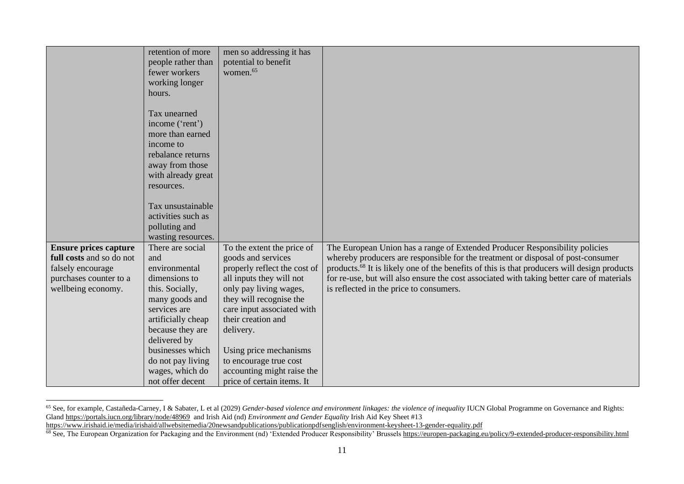|                              | retention of more<br>people rather than<br>fewer workers | men so addressing it has<br>potential to benefit<br>women. <sup>65</sup> |                                                                                                         |
|------------------------------|----------------------------------------------------------|--------------------------------------------------------------------------|---------------------------------------------------------------------------------------------------------|
|                              | working longer                                           |                                                                          |                                                                                                         |
|                              | hours.                                                   |                                                                          |                                                                                                         |
|                              | Tax unearned                                             |                                                                          |                                                                                                         |
|                              | income ('rent')                                          |                                                                          |                                                                                                         |
|                              | more than earned                                         |                                                                          |                                                                                                         |
|                              | income to                                                |                                                                          |                                                                                                         |
|                              | rebalance returns                                        |                                                                          |                                                                                                         |
|                              | away from those                                          |                                                                          |                                                                                                         |
|                              | with already great                                       |                                                                          |                                                                                                         |
|                              | resources.                                               |                                                                          |                                                                                                         |
|                              | Tax unsustainable                                        |                                                                          |                                                                                                         |
|                              | activities such as                                       |                                                                          |                                                                                                         |
|                              | polluting and                                            |                                                                          |                                                                                                         |
|                              | wasting resources.                                       |                                                                          |                                                                                                         |
| <b>Ensure prices capture</b> | There are social                                         | To the extent the price of                                               | The European Union has a range of Extended Producer Responsibility policies                             |
| full costs and so do not     | and                                                      | goods and services                                                       | whereby producers are responsible for the treatment or disposal of post-consumer                        |
| falsely encourage            | environmental                                            | properly reflect the cost of                                             | products. <sup>68</sup> It is likely one of the benefits of this is that producers will design products |
| purchases counter to a       | dimensions to                                            | all inputs they will not                                                 | for re-use, but will also ensure the cost associated with taking better care of materials               |
| wellbeing economy.           | this. Socially,                                          | only pay living wages,                                                   | is reflected in the price to consumers.                                                                 |
|                              | many goods and                                           | they will recognise the                                                  |                                                                                                         |
|                              | services are                                             | care input associated with<br>their creation and                         |                                                                                                         |
|                              | artificially cheap<br>because they are                   | delivery.                                                                |                                                                                                         |
|                              | delivered by                                             |                                                                          |                                                                                                         |
|                              | businesses which                                         | Using price mechanisms                                                   |                                                                                                         |
|                              | do not pay living                                        | to encourage true cost                                                   |                                                                                                         |
|                              | wages, which do                                          | accounting might raise the                                               |                                                                                                         |
|                              | not offer decent                                         | price of certain items. It                                               |                                                                                                         |

<sup>&</sup>lt;sup>65</sup> See, for example, Castañeda-Carney, I & Sabater, L et al (2029) *Gender-based violence and environment linkages: the violence of inequality IUCN Global Programme on Governance and Rights:* Gland <https://portals.iucn.org/library/node/48969>and Irish Aid (nd) *Environment and Gender Equality* Irish Aid Key Sheet #13

<https://www.irishaid.ie/media/irishaid/allwebsitemedia/20newsandpublications/publicationpdfsenglish/environment-keysheet-13-gender-equality.pdf>

<sup>&</sup>lt;sup>68</sup> See, The European Organization for Packaging and the Environment (nd) 'Extended Producer Responsibility' Brussels <https://europen-packaging.eu/policy/9-extended-producer-responsibility.html>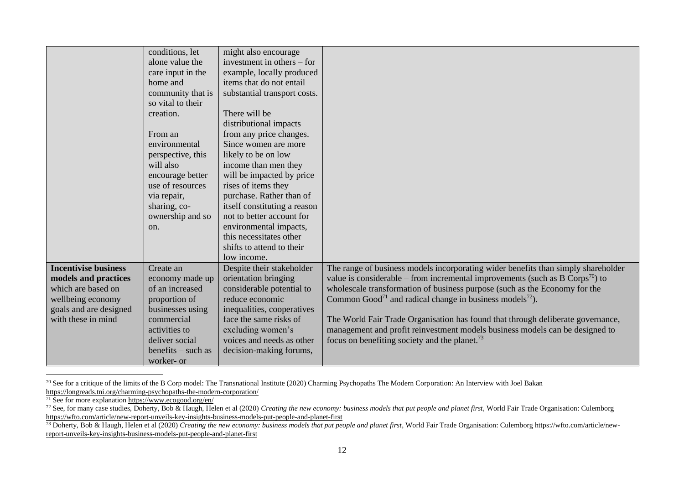|                             | conditions, let       | might also encourage         |                                                                                           |
|-----------------------------|-----------------------|------------------------------|-------------------------------------------------------------------------------------------|
|                             | alone value the       | investment in others $-$ for |                                                                                           |
|                             | care input in the     | example, locally produced    |                                                                                           |
|                             | home and              | items that do not entail     |                                                                                           |
|                             | community that is     | substantial transport costs. |                                                                                           |
|                             | so vital to their     |                              |                                                                                           |
|                             | creation.             | There will be                |                                                                                           |
|                             |                       | distributional impacts       |                                                                                           |
|                             | From an               | from any price changes.      |                                                                                           |
|                             | environmental         | Since women are more         |                                                                                           |
|                             | perspective, this     | likely to be on low          |                                                                                           |
|                             | will also             | income than men they         |                                                                                           |
|                             | encourage better      | will be impacted by price    |                                                                                           |
|                             | use of resources      | rises of items they          |                                                                                           |
|                             | via repair,           | purchase. Rather than of     |                                                                                           |
|                             | sharing, co-          | itself constituting a reason |                                                                                           |
|                             | ownership and so      | not to better account for    |                                                                                           |
|                             | on.                   | environmental impacts,       |                                                                                           |
|                             |                       | this necessitates other      |                                                                                           |
|                             |                       | shifts to attend to their    |                                                                                           |
|                             |                       | low income.                  |                                                                                           |
| <b>Incentivise business</b> | Create an             | Despite their stakeholder    | The range of business models incorporating wider benefits than simply shareholder         |
| models and practices        | economy made up       | orientation bringing         | value is considerable – from incremental improvements (such as B Corps <sup>70</sup> ) to |
| which are based on          | of an increased       | considerable potential to    | wholescale transformation of business purpose (such as the Economy for the                |
| wellbeing economy           | proportion of         | reduce economic              | Common Good <sup>71</sup> and radical change in business models <sup>72</sup> ).          |
| goals and are designed      | businesses using      | inequalities, cooperatives   |                                                                                           |
| with these in mind          | commercial            | face the same risks of       | The World Fair Trade Organisation has found that through deliberate governance,           |
|                             | activities to         | excluding women's            | management and profit reinvestment models business models can be designed to              |
|                             | deliver social        | voices and needs as other    | focus on benefiting society and the planet. <sup>73</sup>                                 |
|                             | $b$ enefits – such as | decision-making forums,      |                                                                                           |
|                             | worker- or            |                              |                                                                                           |

<sup>&</sup>lt;sup>70</sup> See for a critique of the limits of the B Corp model: The Transnational Institute (2020) Charming Psychopaths The Modern Corporation: An Interview with Joel Bakan <https://longreads.tni.org/charming-psychopaths-the-modern-corporation/>

<sup>&</sup>lt;sup>71</sup> See for more explanation<https://www.ecogood.org/en/>

 $^{72}$  See, for many case studies, Doherty, Bob & Haugh, Helen et al (2020) *Creating the new economy: business models that put people and planet first*, World Fair Trade Organisation: Culemborg <https://wfto.com/article/new-report-unveils-key-insights-business-models-put-people-and-planet-first>

<sup>&</sup>lt;sup>73</sup> Doherty, Bob & Haugh, Helen et al (2020) *Creating the new economy: business models that put people and planet first*, World Fair Trade Organisation: Culemborg [https://wfto.com/article/new](https://wfto.com/article/new-report-unveils-key-insights-business-models-put-people-and-planet-first)[report-unveils-key-insights-business-models-put-people-and-planet-first](https://wfto.com/article/new-report-unveils-key-insights-business-models-put-people-and-planet-first)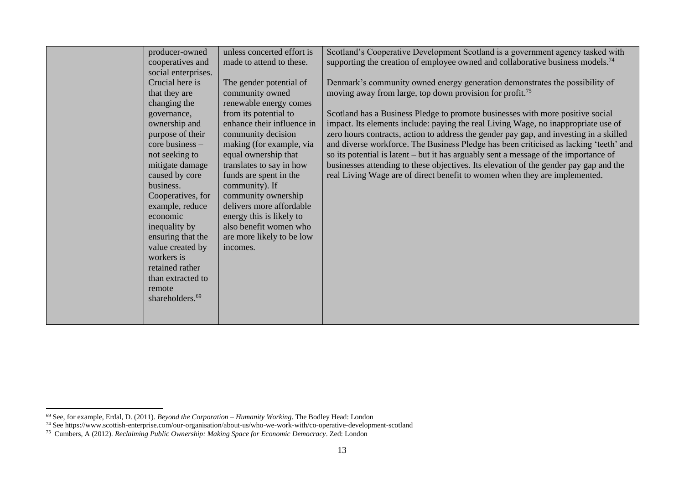| producer-owned              | unless concerted effort is | Scotland's Cooperative Development Scotland is a government agency tasked with             |
|-----------------------------|----------------------------|--------------------------------------------------------------------------------------------|
| cooperatives and            | made to attend to these.   | supporting the creation of employee owned and collaborative business models. <sup>74</sup> |
| social enterprises.         |                            |                                                                                            |
| Crucial here is             | The gender potential of    | Denmark's community owned energy generation demonstrates the possibility of                |
| that they are               | community owned            | moving away from large, top down provision for profit. <sup>75</sup>                       |
| changing the                | renewable energy comes     |                                                                                            |
| governance,                 | from its potential to      | Scotland has a Business Pledge to promote businesses with more positive social             |
| ownership and               | enhance their influence in | impact. Its elements include: paying the real Living Wage, no inappropriate use of         |
| purpose of their            | community decision         | zero hours contracts, action to address the gender pay gap, and investing in a skilled     |
| core business -             | making (for example, via   | and diverse workforce. The Business Pledge has been criticised as lacking 'teeth' and      |
| not seeking to              | equal ownership that       | so its potential is latent - but it has arguably sent a message of the importance of       |
| mitigate damage             | translates to say in how   | businesses attending to these objectives. Its elevation of the gender pay gap and the      |
| caused by core              | funds are spent in the     | real Living Wage are of direct benefit to women when they are implemented.                 |
| business.                   | community). If             |                                                                                            |
| Cooperatives, for           | community ownership        |                                                                                            |
| example, reduce             | delivers more affordable   |                                                                                            |
| economic                    | energy this is likely to   |                                                                                            |
| inequality by               | also benefit women who     |                                                                                            |
| ensuring that the           | are more likely to be low  |                                                                                            |
| value created by            | incomes.                   |                                                                                            |
| workers is                  |                            |                                                                                            |
| retained rather             |                            |                                                                                            |
| than extracted to           |                            |                                                                                            |
| remote                      |                            |                                                                                            |
| shareholders. <sup>69</sup> |                            |                                                                                            |
|                             |                            |                                                                                            |
|                             |                            |                                                                                            |

<sup>69</sup> See, for example, Erdal, D. (2011). *Beyond the Corporation – Humanity Working*. The Bodley Head: London

<sup>&</sup>lt;sup>74</sup> See<https://www.scottish-enterprise.com/our-organisation/about-us/who-we-work-with/co-operative-development-scotland>

<sup>75</sup> Cumbers, A (2012). *Reclaiming Public Ownership: Making Space for Economic Democracy*. Zed: London